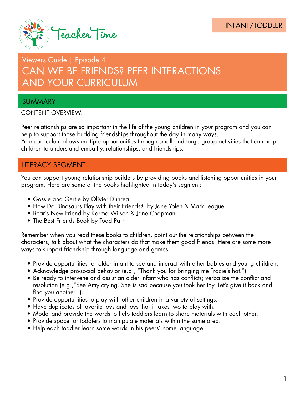

# Viewers Guide | Episode 4 CAN WE BE FRIENDS? PEER INTERACTIONS AND YOUR CURRICULUM

# SUMMARY

#### CONTENT OVERVIEW:

Peer relationships are so important in the life of the young children in your program and you can help to support those budding friendships throughout the day in many ways.

Your curriculum allows multiple opportunities through small and large group activities that can help children to understand empathy, relationships, and friendships.

### LITERACY SEGMENT

You can support young relationship builders by providing books and listening opportunities in your program. Here are some of the books highlighted in today's segment:

- Gossie and Gertie by Olivier Dunrea
- How Do Dinosaurs Play with their Friends? by Jane Yolen & Mark Teague
- Bear's New Friend by Karma Wilson & Jane Chapman
- The Best Friends Book by Todd Parr

Remember when you read these books to children, point out the relationships between the characters, talk about what the characters do that make them good friends. Here are some more ways to support friendship through language and games:

- Provide opportunities for older infant to see and interact with other babies and young children.
- Acknowledge pro-social behavior (e.g., "Thank you for bringing me Tracie's hat.").
- Be ready to intervene and assist an older infant who has conflicts; verbalize the conflict and resolution (e.g.,"See Amy crying. She is sad because you took her toy. Let's give it back and find you another.").
- Provide opportunities to play with other children in a variety of settings.
- Have duplicates of favorite toys and toys that it takes two to play with.
- Model and provide the words to help toddlers learn to share materials with each other.
- Provide space for toddlers to manipulate materials within the same area.
- Help each toddler learn some words in his peers' home language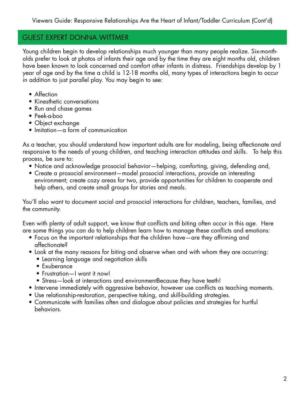## GUEST EXPERT DONNA WITTMER

Young children begin to develop relationships much younger than many people realize. Six-montholds prefer to look at photos of infants their age and by the time they are eight months old, children have been known to look concerned and comfort other infants in distress. Friendships develop by 1 year of age and by the time a child is 12-18 months old, many types of interactions begin to occur in addition to just parallel play. You may begin to see:

- Affection
- Kinesthetic conversations
- Run and chase games
- Peek-a-boo
- Object exchange
- Imitation—a form of communication

As a teacher, you should understand how important adults are for modeling, being affectionate and responsive to the needs of young children, and teaching interaction attitudes and skills. To help this process, be sure to:

- Notice and acknowledge prosocial behavior—helping, comforting, giving, defending and,
- Create a prosocial environment—model prosocial interactions, provide an interesting environment; create cozy areas for two, provide opportunities for children to cooperate and help others, and create small groups for stories and meals.

You'll also want to document social and prosocial interactions for children, teachers, families, and the community.

Even with plenty of adult support, we know that conflicts and biting often occur in this age. Here are some things you can do to help children learn how to manage these conflicts and emotions:

- Focus on the important relationships that the children have—are they affirming and affectionate?
- Look at the many reasons for biting and observe when and with whom they are occurring:
	- Learning language and negotiation skills
	- Exuberance
	- Frustration—I want it now!
	- Stress—look at interactions and environmentBecause they have teeth!
- Intervene immediately with aggressive behavior, however use conflicts as teaching moments.
- Use relationship-restoration, perspective taking, and skill-building strategies.
- Communicate with families often and dialogue about policies and strategies for hurtful behaviors.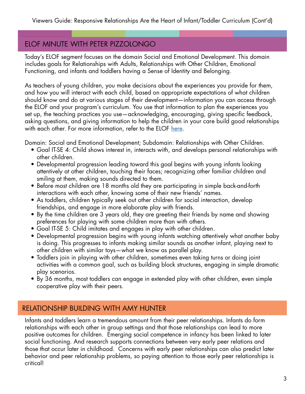# ELOF MINUTE WITH PETER PIZZOLONGO

Today's ELOF segment focuses on the domain Social and Emotional Development. This domain includes goals for Relationships with Adults, Relationships with Other Children, Emotional Functioning, and infants and toddlers having a Sense of Identity and Belonging.

As teachers of young children, you make decisions about the experiences you provide for them, and how you will interact with each child, based on appropriate expectations of what children should know and do at various stages of their development—information you can access through the ELOF and your program's curriculum. You use that information to plan the experiences you set up, the teaching practices you use—acknowledging, encouraging, giving specific feedback, asking questions, and giving information to help the children in your care build good relationships with each other. For more information, refer to the ELOF [here.](https://eclkc.ohs.acf.hhs.gov/hslc/hs/sr/approach/pdf/ohs-framework.pdf)

Domain: Social and Emotional Development; Subdomain: Relationships with Other Children.

- Goal IT-SE 4: Child shows interest in, interacts with, and develops personal relationships with other children.
- Developmental progression leading toward this goal begins with young infants looking attentively at other children, touching their faces; recognizing other familiar children and smiling at them, making sounds directed to them.
- Before most children are 18 months old they are participating in simple back-and-forth interactions with each other, knowing some of their new friends' names.
- As toddlers, children typically seek out other children for social interaction, develop friendships, and engage in more elaborate play with friends.
- By the time children are 3 years old, they are greeting their friends by name and showing preferences for playing with some children more than with others.
- Goal IT-SE 5: Child imitates and engages in play with other children.
- Developmental progression begins with young infants watching attentively what another baby is doing. This progresses to infants making similar sounds as another infant, playing next to other children with similar toys—what we know as parallel play.
- Toddlers join in playing with other children, sometimes even taking turns or doing joint activities with a common goal, such as building block structures, engaging in simple dramatic play scenarios.
- By 36 months, most toddlers can engage in extended play with other children, even simple cooperative play with their peers.

### RELATIONSHIP BUILDING WITH AMY HUNTER

Infants and toddlers learn a tremendous amount from their peer relationships. Infants do form relationships with each other in group settings and that those relationships can lead to more positive outcomes for children. Emerging social competence in infancy has been linked to later social functioning. And research supports connections between very early peer relations and those that occur later in childhood. Concerns with early peer relationships can also predict later behavior and peer relationship problems, so paying attention to those early peer relationships is critical!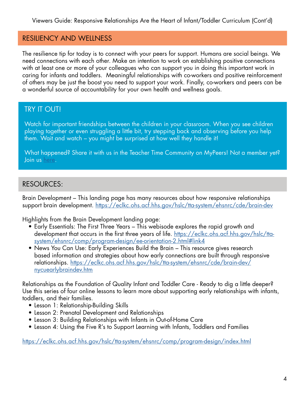Viewers Guide: Responsive Relationships Are the Heart of Infant/Toddler Curriculum (Cont'd)

#### RESILIENCY AND WELLNESS

The resilience tip for today is to connect with your peers for support. Humans are social beings. We need connections with each other. Make an intention to work on establishing positive connections with at least one or more of your colleagues who can support you in doing this important work in caring for infants and toddlers. Meaningful relationships with co-workers and positive reinforcement of others may be just the boost you need to support your work. Finally, co-workers and peers can be a wonderful source of accountability for your own health and wellness goals.

### TRY IT OUT!

Watch for important friendships between the children in your classroom. When you see children playing together or even struggling a little bit, try stepping back and observing before you help them. Wait and watch – you might be surprised at how well they handle it!

What happened? Share it with us in the Teacher Time Community on MyPeers! Not a member yet? Join us [here](http://www.123contactform.com/form-2230355/My-Peers).

#### RESOURCES:

Brain Development – This landing page has many resources about how responsive relationships support brain development. [https://eclkc.ohs.acf.hhs.gov/hslc/tta-system/ehsnrc/cde/brain-dev](https://eclkc.ohs.acf.hhs.gov/hslc/tta-system/ehsnrc/cde/brain-dev ) 

Highlights from the Brain Development landing page:

- Early Essentials: The First Three Years This webisode explores the rapid growth and development that occurs in the first three years of life. [https://eclkc.ohs.acf.hhs.gov/hslc/tta](https://eclkc.ohs.acf.hhs.gov/hslc/tta-system/ehsnrc/comp/program-design/ee-orientation-2.html#link4)system/ehsnrc/comp/program-design/ee-orientation-2.html#link4
- News You Can Use: Early Experiences Build the Brain This resource gives research based information and strategies about how early connections are built through responsive relationships. [https://eclkc.ohs.acf.hhs.gov/hslc/tta-system/ehsnrc/cde/brain-dev/](https://eclkc.ohs.acf.hhs.gov/hslc/tta-system/ehsnrc/cde/brain-dev/nycuearlybraindev.htm ) nycuearlybraindev.htm

Relationships as the Foundation of Quality Infant and Toddler Care - Ready to dig a little deeper? Use this series of four online lessons to learn more about supporting early relationships with infants, toddlers, and their families.

- Lesson 1: Relationship-Building Skills
- Lesson 2: Prenatal Development and Relationships
- Lesson 3: Building Relationships with Infants in Out-of-Home Care
- Lesson 4: Using the Five R's to Support Learning with Infants, Toddlers and Families

<https://eclkc.ohs.acf.hhs.gov/hslc/tta-system/ehsnrc/comp/program-design/index.html>